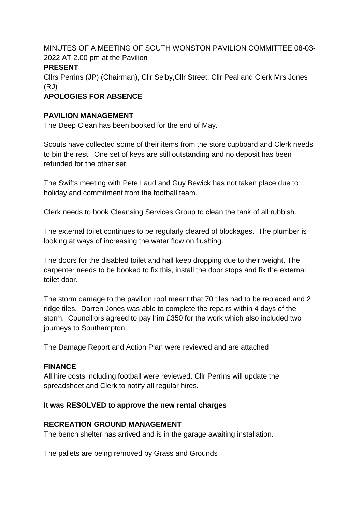MINUTES OF A MEETING OF SOUTH WONSTON PAVILION COMMITTEE 08-03- 2022 AT 2.00 pm at the Pavilion

## **PRESENT**

Cllrs Perrins (JP) (Chairman), Cllr Selby,Cllr Street, Cllr Peal and Clerk Mrs Jones (RJ)

# **APOLOGIES FOR ABSENCE**

## **PAVILION MANAGEMENT**

The Deep Clean has been booked for the end of May.

Scouts have collected some of their items from the store cupboard and Clerk needs to bin the rest. One set of keys are still outstanding and no deposit has been refunded for the other set.

The Swifts meeting with Pete Laud and Guy Bewick has not taken place due to holiday and commitment from the football team.

Clerk needs to book Cleansing Services Group to clean the tank of all rubbish.

The external toilet continues to be regularly cleared of blockages. The plumber is looking at ways of increasing the water flow on flushing.

The doors for the disabled toilet and hall keep dropping due to their weight. The carpenter needs to be booked to fix this, install the door stops and fix the external toilet door.

The storm damage to the pavilion roof meant that 70 tiles had to be replaced and 2 ridge tiles. Darren Jones was able to complete the repairs within 4 days of the storm. Councillors agreed to pay him £350 for the work which also included two journeys to Southampton.

The Damage Report and Action Plan were reviewed and are attached.

# **FINANCE**

All hire costs including football were reviewed. Cllr Perrins will update the spreadsheet and Clerk to notify all regular hires.

# **It was RESOLVED to approve the new rental charges**

#### **RECREATION GROUND MANAGEMENT**

The bench shelter has arrived and is in the garage awaiting installation.

The pallets are being removed by Grass and Grounds